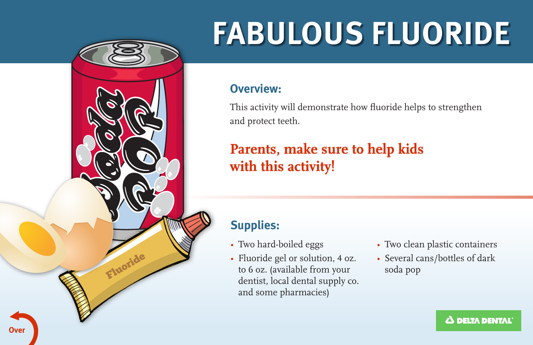

# **FABULOUS FLUORIDE**

#### **Overview:**

This activity will demonstrate how fuoride helps to strengthen and protect teeth.

## **Parents, make sure to help kids** with this activity!

## **Supplies:**

- 
- Fluoride gel or solution, 4 oz. Several cans/bottles of dark to 6 oz. (available from your soda pop dentist, local dental supply co. and some pharmacies)
- Two hard-boiled eggs Two clean plastic containers
	-

**0 DELTA DENTAL.**